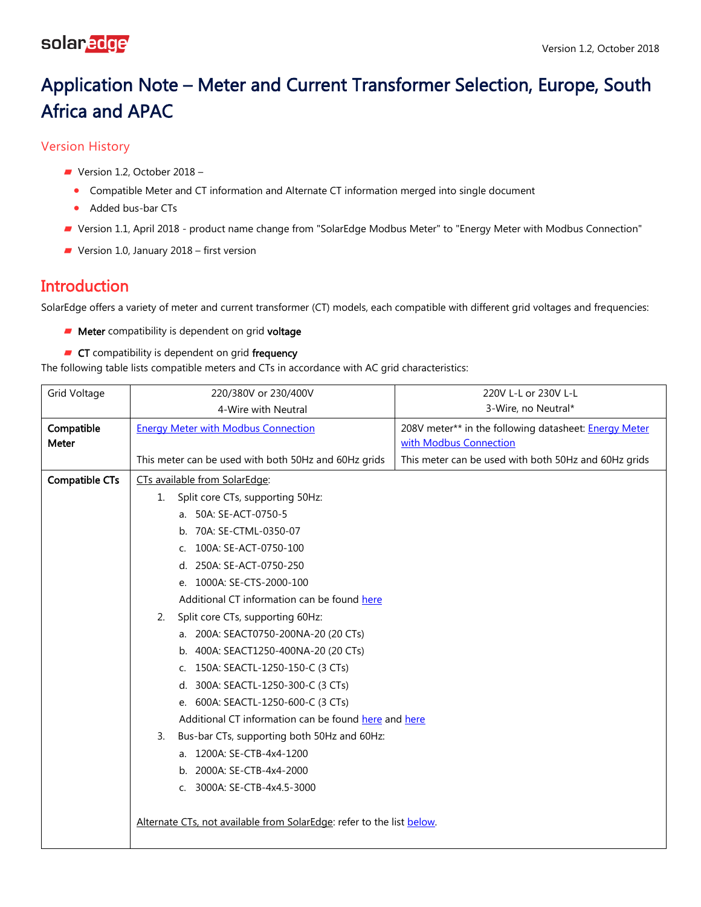# Application Note – Meter and Current Transformer Selection, Europe, South Africa and APAC

Version History

- Version 1.2, October 2018 -
	- Compatible Meter and CT information and Alternate CT information merged into single document
	- Added bus-bar CTs
- Version 1.1, April 2018 product name change from "SolarEdge Modbus Meter" to "Energy Meter with Modbus Connection"
- Version 1.0, January 2018 first version

## **Introduction**

SolarEdge offers a variety of meter and current transformer (CT) models, each compatible with different grid voltages and frequencies:

- **Meter** compatibility is dependent on grid voltage
- **CT** compatibility is dependent on grid frequency

The following table lists compatible meters and CTs in accordance with AC grid characteristics:

| <b>Grid Voltage</b> | 220/380V or 230/400V                                                  | 220V L-L or 230V L-L                                         |
|---------------------|-----------------------------------------------------------------------|--------------------------------------------------------------|
|                     | 4-Wire with Neutral                                                   | 3-Wire, no Neutral*                                          |
| Compatible          | <b>Energy Meter with Modbus Connection</b>                            | 208V meter** in the following datasheet: <b>Energy Meter</b> |
| Meter               |                                                                       | with Modbus Connection                                       |
|                     | This meter can be used with both 50Hz and 60Hz grids                  | This meter can be used with both 50Hz and 60Hz grids         |
| Compatible CTs      | CTs available from SolarEdge:                                         |                                                              |
|                     | Split core CTs, supporting 50Hz:<br>1.                                |                                                              |
|                     | a. 50A: SE-ACT-0750-5                                                 |                                                              |
|                     | b. 70A: SE-CTML-0350-07                                               |                                                              |
|                     | 100A: SE-ACT-0750-100<br>C.                                           |                                                              |
|                     | d. 250A: SE-ACT-0750-250                                              |                                                              |
|                     | e. 1000A: SE-CTS-2000-100                                             |                                                              |
|                     | Additional CT information can be found here                           |                                                              |
|                     | Split core CTs, supporting 60Hz:<br>2.                                |                                                              |
|                     | a. 200A: SEACT0750-200NA-20 (20 CTs)                                  |                                                              |
|                     | b. 400A: SEACT1250-400NA-20 (20 CTs)                                  |                                                              |
|                     | 150A: SEACTL-1250-150-C (3 CTs)<br>C.                                 |                                                              |
|                     | 300A: SEACTL-1250-300-C (3 CTs)<br>d.                                 |                                                              |
|                     | e. 600A: SEACTL-1250-600-C (3 CTs)                                    |                                                              |
|                     | Additional CT information can be found here and here                  |                                                              |
|                     | Bus-bar CTs, supporting both 50Hz and 60Hz:<br>3.                     |                                                              |
|                     | a. 1200A: SE-CTB-4x4-1200                                             |                                                              |
|                     | b. 2000A: SE-CTB-4x4-2000                                             |                                                              |
|                     | 3000A: SE-CTB-4x4.5-3000<br>C.                                        |                                                              |
|                     |                                                                       |                                                              |
|                     | Alternate CTs, not available from SolarEdge: refer to the list below. |                                                              |
|                     |                                                                       |                                                              |
|                     |                                                                       |                                                              |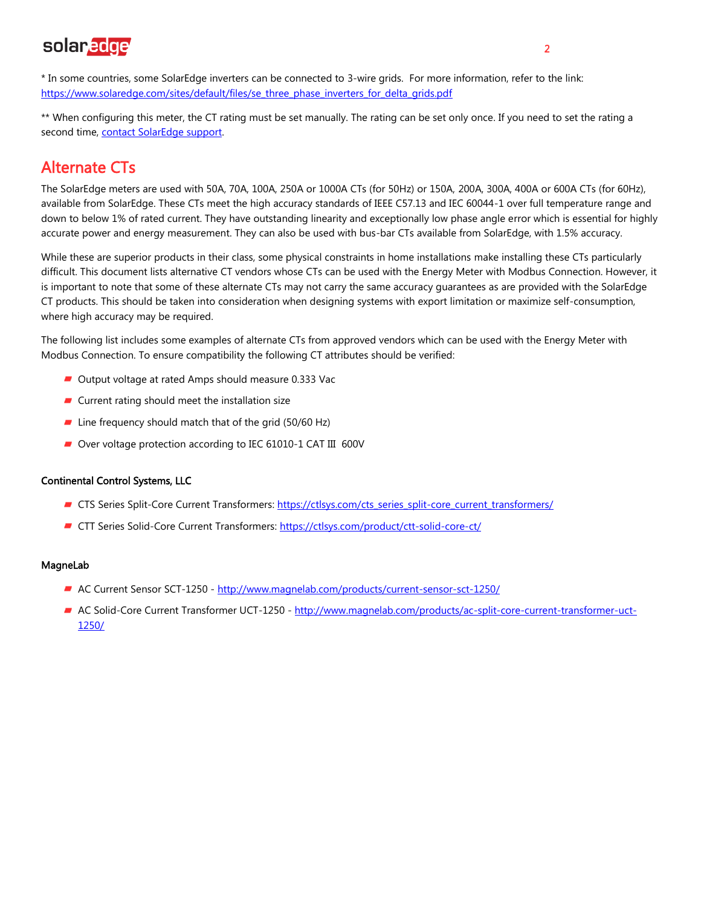# solaredge

\* In some countries, some SolarEdge inverters can be connected to 3-wire grids. For more information, refer to the link: [https://www.solaredge.com/sites/default/files/se\\_three\\_phase\\_inverters\\_for\\_delta\\_grids.pdf](https://www.solaredge.com/sites/default/files/se_three_phase_inverters_for_delta_grids.pdf)

\*\* When configuring this meter, the CT rating must be set manually. The rating can be set only once. If you need to set the rating a second time, contact SolarEdge support.

### <span id="page-1-0"></span>Alternate CTs

The SolarEdge meters are used with 50A, 70A, 100A, 250A or 1000A CTs (for 50Hz) or 150A, 200A, 300A, 400A or 600A CTs (for 60Hz), available from SolarEdge. These CTs meet the high accuracy standards of IEEE C57.13 and IEC 60044-1 over full temperature range and down to below 1% of rated current. They have outstanding linearity and exceptionally low phase angle error which is essential for highly accurate power and energy measurement. They can also be used with bus-bar CTs available from SolarEdge, with 1.5% accuracy.

While these are superior products in their class, some physical constraints in home installations make installing these CTs particularly difficult. This document lists alternative CT vendors whose CTs can be used with the Energy Meter with Modbus Connection. However, it is important to note that some of these alternate CTs may not carry the same accuracy guarantees as are provided with the SolarEdge CT products. This should be taken into consideration when designing systems with export limitation or maximize self-consumption, where high accuracy may be required.

The following list includes some examples of alternate CTs from approved vendors which can be used with the Energy Meter with Modbus Connection. To ensure compatibility the following CT attributes should be verified:

- Output voltage at rated Amps should measure 0.333 Vac
- $\blacksquare$  Current rating should meet the installation size
- $\blacksquare$  Line frequency should match that of the grid (50/60 Hz)
- Over voltage protection according to IEC 61010-1 CAT III 600V

#### Continental Control Systems, LLC

- CTS Series Split-Core Current Transformers: [https://ctlsys.com/cts\\_series\\_split-core\\_current\\_transformers/](https://ctlsys.com/cts_series_split-core_current_transformers/)
- CTT Series Solid-Core Current Transformers[: https://ctlsys.com/product/ctt-solid-core-ct/](https://ctlsys.com/product/ctt-solid-core-ct/)

#### MagneLab

- AC Current Sensor SCT-1250 <http://www.magnelab.com/products/current-sensor-sct-1250/>
- AC Solid-Core Current Transformer UCT-1250 [http://www.magnelab.com/products/ac-split-core-current-transformer-uct-](http://www.magnelab.com/products/ac-split-core-current-transformer-uct-1250/)[1250/](http://www.magnelab.com/products/ac-split-core-current-transformer-uct-1250/)